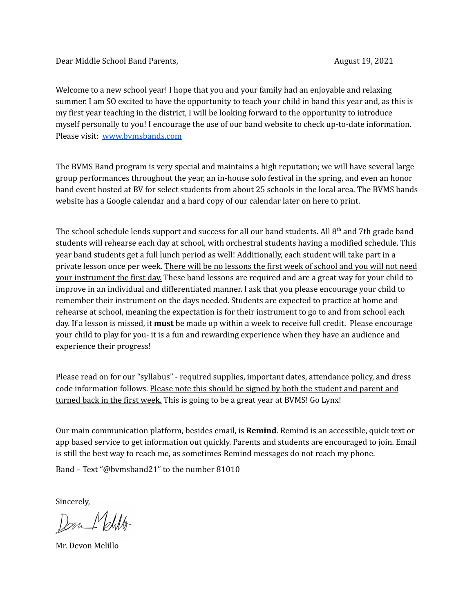Dear Middle School Band Parents, August 19, 2021

Welcome to a new school year! I hope that you and your family had an enjoyable and relaxing summer. I am SO excited to have the opportunity to teach your child in band this year and, as this is my first year teaching in the district, I will be looking forward to the opportunity to introduce myself personally to you! I encourage the use of our band website to check up-to-date information. Please visit: [www.bvmsbands.com](http://www.bvmsbands.com)

The BVMS Band program is very special and maintains a high reputation; we will have several large group performances throughout the year, an in-house solo festival in the spring, and even an honor band event hosted at BV for select students from about 25 schools in the local area. The BVMS bands website has a Google calendar and a hard copy of our calendar later on here to print.

The school schedule lends support and success for all our band students. All  $8<sup>th</sup>$  and 7th grade band students will rehearse each day at school, with orchestral students having a modified schedule. This year band students get a full lunch period as well! Additionally, each student will take part in a private lesson once per week. There will be no lessons the first week of school and you will not need your instrument the first day. These band lessons are required and are a great way for your child to improve in an individual and differentiated manner. I ask that you please encourage your child to remember their instrument on the days needed. Students are expected to practice at home and rehearse at school, meaning the expectation is for their instrument to go to and from school each day. If a lesson is missed, it **must** be made up within a week to receive full credit. Please encourage your child to play for you- it is a fun and rewarding experience when they have an audience and experience their progress!

Please read on for our "syllabus" - required supplies, important dates, attendance policy, and dress code information follows. Please note this should be signed by both the student and parent and turned back in the first week. This is going to be a great year at BVMS! Go Lynx!

Our main communication platform, besides email, is **Remind**. Remind is an accessible, quick text or app based service to get information out quickly. Parents and students are encouraged to join. Email is still the best way to reach me, as sometimes Remind messages do not reach my phone.

Band – Text "@bvmsband21" to the number 81010

Sincerely,

Don Melillo

Mr. Devon Melillo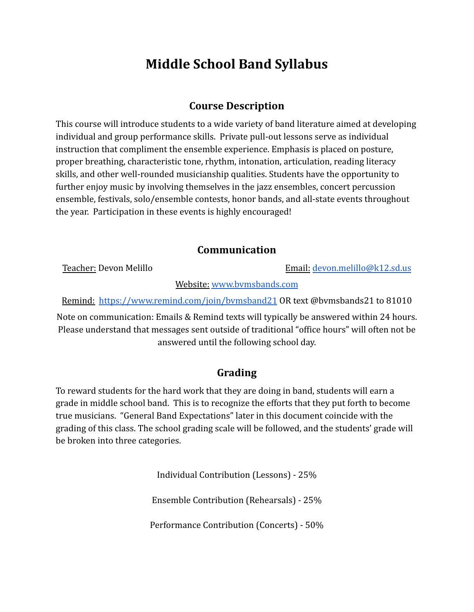# **Middle School Band Syllabus**

## **Course Description**

This course will introduce students to a wide variety of band literature aimed at developing individual and group performance skills. Private pull-out lessons serve as individual instruction that compliment the ensemble experience. Emphasis is placed on posture, proper breathing, characteristic tone, rhythm, intonation, articulation, reading literacy skills, and other well-rounded musicianship qualities. Students have the opportunity to further enjoy music by involving themselves in the jazz ensembles, concert percussion ensemble, festivals, solo/ensemble contests, honor bands, and all-state events throughout the year. Participation in these events is highly encouraged!

### **Communication**

Teacher: Devon Melillo **Email:** [devon.melillo@k12.sd.us](mailto:devon.melillo@k12.sd.us)

Website: [www.bvmsbands.com](http://www.bvmsbands.com)

Remind: <https://www.remind.com/join/bvmsband21> OR text @bvmsbands21 to 81010

Note on communication: Emails & Remind texts will typically be answered within 24 hours. Please understand that messages sent outside of traditional "office hours" will often not be answered until the following school day.

## **Grading**

To reward students for the hard work that they are doing in band, students will earn a grade in middle school band. This is to recognize the efforts that they put forth to become true musicians. "General Band Expectations" later in this document coincide with the grading of this class. The school grading scale will be followed, and the students' grade will be broken into three categories.

Individual Contribution (Lessons) - 25%

Ensemble Contribution (Rehearsals) - 25%

Performance Contribution (Concerts) - 50%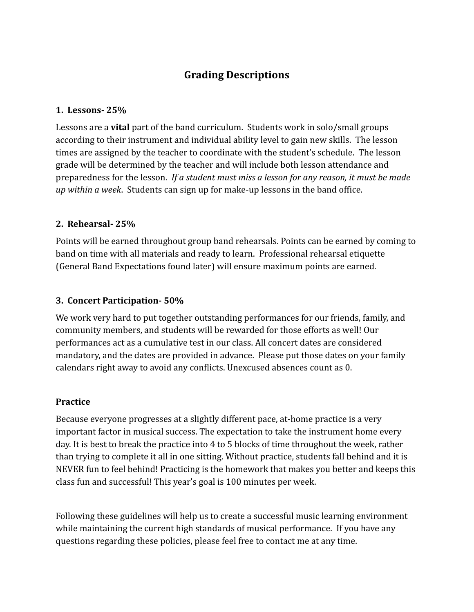## **Grading Descriptions**

#### **1. Lessons- 25%**

Lessons are a **vital** part of the band curriculum. Students work in solo/small groups according to their instrument and individual ability level to gain new skills. The lesson times are assigned by the teacher to coordinate with the student's schedule. The lesson grade will be determined by the teacher and will include both lesson attendance and preparedness for the lesson. *If a student must miss a lesson for any reason, it must be made up within a week*. Students can sign up for make-up lessons in the band office.

#### **2. Rehearsal- 25%**

Points will be earned throughout group band rehearsals. Points can be earned by coming to band on time with all materials and ready to learn. Professional rehearsal etiquette (General Band Expectations found later) will ensure maximum points are earned.

#### **3. Concert Participation- 50%**

We work very hard to put together outstanding performances for our friends, family, and community members, and students will be rewarded for those efforts as well! Our performances act as a cumulative test in our class. All concert dates are considered mandatory, and the dates are provided in advance. Please put those dates on your family calendars right away to avoid any conflicts. Unexcused absences count as 0.

#### **Practice**

Because everyone progresses at a slightly different pace, at-home practice is a very important factor in musical success. The expectation to take the instrument home every day. It is best to break the practice into 4 to 5 blocks of time throughout the week, rather than trying to complete it all in one sitting. Without practice, students fall behind and it is NEVER fun to feel behind! Practicing is the homework that makes you better and keeps this class fun and successful! This year's goal is 100 minutes per week.

Following these guidelines will help us to create a successful music learning environment while maintaining the current high standards of musical performance. If you have any questions regarding these policies, please feel free to contact me at any time.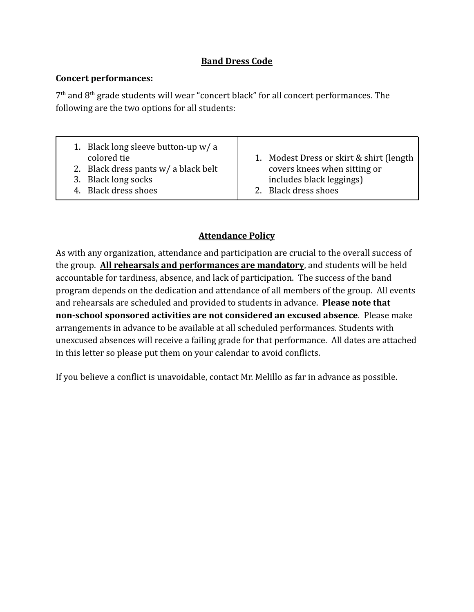#### **Band Dress Code**

#### **Concert performances:**

 $7<sup>th</sup>$  and  $8<sup>th</sup>$  grade students will wear "concert black" for all concert performances. The following are the two options for all students:

| 1. Black long sleeve button-up $w/a$   |                                           |
|----------------------------------------|-------------------------------------------|
| colored tie                            | 1. Modest Dress or skirt & shirt (length) |
| 2. Black dress pants $w/$ a black belt | covers knees when sitting or              |
| 3. Black long socks                    | includes black leggings)                  |
| 4. Black dress shoes                   | 2. Black dress shoes                      |

### **Attendance Policy**

As with any organization, attendance and participation are crucial to the overall success of the group. **All rehearsals and performances are mandatory**, and students will be held accountable for tardiness, absence, and lack of participation. The success of the band program depends on the dedication and attendance of all members of the group. All events and rehearsals are scheduled and provided to students in advance. **Please note that non-school sponsored activities are not considered an excused absence**. Please make arrangements in advance to be available at all scheduled performances. Students with unexcused absences will receive a failing grade for that performance. All dates are attached in this letter so please put them on your calendar to avoid conflicts.

If you believe a conflict is unavoidable, contact Mr. Melillo as far in advance as possible.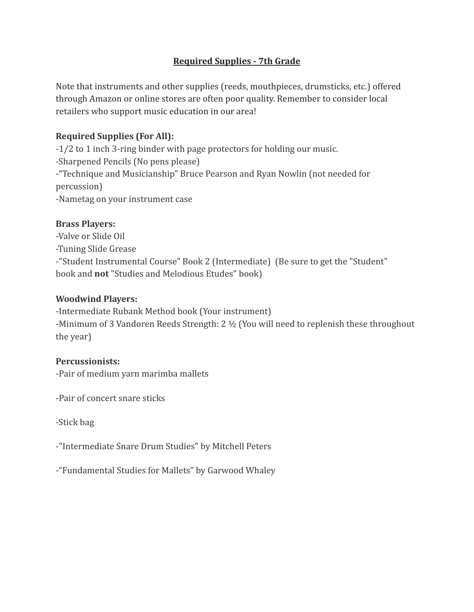#### **Required Supplies - 7th Grade**

Note that instruments and other supplies (reeds, mouthpieces, drumsticks, etc.) offered through Amazon or online stores are often poor quality. Remember to consider local retailers who support music education in our area!

#### **Required Supplies (For All):**

-1/2 to 1 inch 3-ring binder with page protectors for holding our music. -Sharpened Pencils (No pens please) -"Technique and Musicianship" Bruce Pearson and Ryan Nowlin (not needed for percussion) -Nametag on your instrument case

#### **Brass Players:**

-Valve or Slide Oil -Tuning Slide Grease -"Student Instrumental Course" Book 2 (Intermediate) (Be sure to get the "Student" book and **not** "Studies and Melodious Etudes" book)

#### **Woodwind Players:**

-Intermediate Rubank Method book (Your instrument) -Minimum of 3 Vandoren Reeds Strength: 2 ½ (You will need to replenish these throughout the year)

#### **Percussionists:**

-Pair of medium yarn marimba mallets

-Pair of concert snare sticks

-Stick bag

-"Intermediate Snare Drum Studies" by Mitchell Peters

-"Fundamental Studies for Mallets" by Garwood Whaley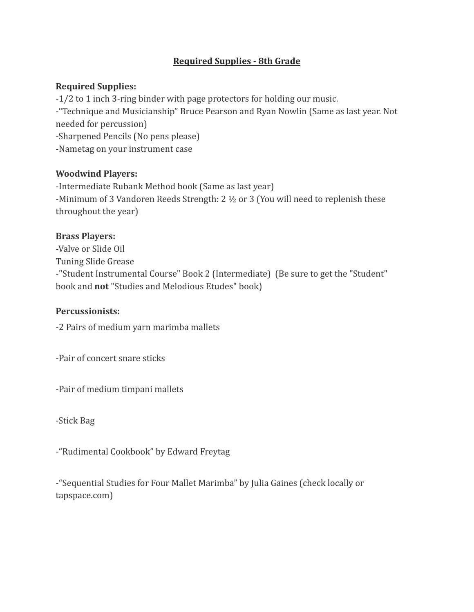#### **Required Supplies - 8th Grade**

#### **Required Supplies:**

-1/2 to 1 inch 3-ring binder with page protectors for holding our music. -"Technique and Musicianship" Bruce Pearson and Ryan Nowlin (Same as last year. Not needed for percussion) -Sharpened Pencils (No pens please) -Nametag on your instrument case

#### **Woodwind Players:**

-Intermediate Rubank Method book (Same as last year) -Minimum of 3 Vandoren Reeds Strength: 2 ½ or 3 (You will need to replenish these throughout the year)

#### **Brass Players:**

-Valve or Slide Oil Tuning Slide Grease -"Student Instrumental Course" Book 2 (Intermediate) (Be sure to get the "Student" book and **not** "Studies and Melodious Etudes" book)

#### **Percussionists:**

-2 Pairs of medium yarn marimba mallets

-Pair of concert snare sticks

-Pair of medium timpani mallets

-Stick Bag

-"Rudimental Cookbook" by Edward Freytag

-"Sequential Studies for Four Mallet Marimba" by Julia Gaines (check locally or tapspace.com)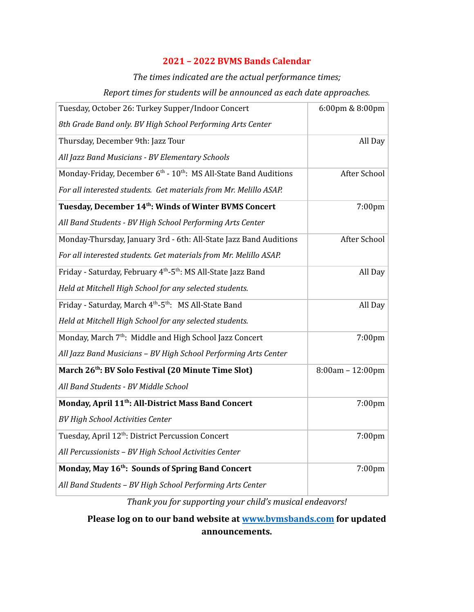#### **2021 – 2022 BVMS Bands Calendar**

## *The times indicated are the actual performance times; Report times for students will be announced as each date approaches.*

| Tuesday, October 26: Turkey Supper/Indoor Concert                                        | 6:00pm & 8:00pm  |
|------------------------------------------------------------------------------------------|------------------|
| 8th Grade Band only. BV High School Performing Arts Center                               |                  |
| Thursday, December 9th: Jazz Tour                                                        | All Day          |
| All Jazz Band Musicians - BV Elementary Schools                                          |                  |
| Monday-Friday, December 6 <sup>th</sup> - 10 <sup>th</sup> : MS All-State Band Auditions | After School     |
| For all interested students. Get materials from Mr. Melillo ASAP.                        |                  |
| Tuesday, December 14 <sup>th</sup> : Winds of Winter BVMS Concert                        | 7:00pm           |
| All Band Students - BV High School Performing Arts Center                                |                  |
| Monday-Thursday, January 3rd - 6th: All-State Jazz Band Auditions                        | After School     |
| For all interested students. Get materials from Mr. Melillo ASAP.                        |                  |
| Friday - Saturday, February 4 <sup>th</sup> -5 <sup>th</sup> : MS All-State Jazz Band    | All Day          |
| Held at Mitchell High School for any selected students.                                  |                  |
| Friday - Saturday, March 4 <sup>th</sup> -5 <sup>th</sup> : MS All-State Band            | All Day          |
| Held at Mitchell High School for any selected students.                                  |                  |
| Monday, March 7 <sup>th</sup> : Middle and High School Jazz Concert                      | 7:00pm           |
| All Jazz Band Musicians - BV High School Performing Arts Center                          |                  |
| March 26 <sup>th</sup> : BV Solo Festival (20 Minute Time Slot)                          | 8:00am - 12:00pm |
| All Band Students - BV Middle School                                                     |                  |
| Monday, April 11 <sup>th</sup> : All-District Mass Band Concert                          | 7:00pm           |
| <b>BV High School Activities Center</b>                                                  |                  |
| Tuesday, April 12 <sup>th</sup> : District Percussion Concert                            | 7:00pm           |
| All Percussionists - BV High School Activities Center                                    |                  |
| Monday, May 16 <sup>th</sup> : Sounds of Spring Band Concert                             | 7:00pm           |
| All Band Students - BV High School Performing Arts Center                                |                  |

*Thank you for supporting your child's musical endeavors!*

**Please log on to our band website at www.bvmsbands.com for updated announcements.**